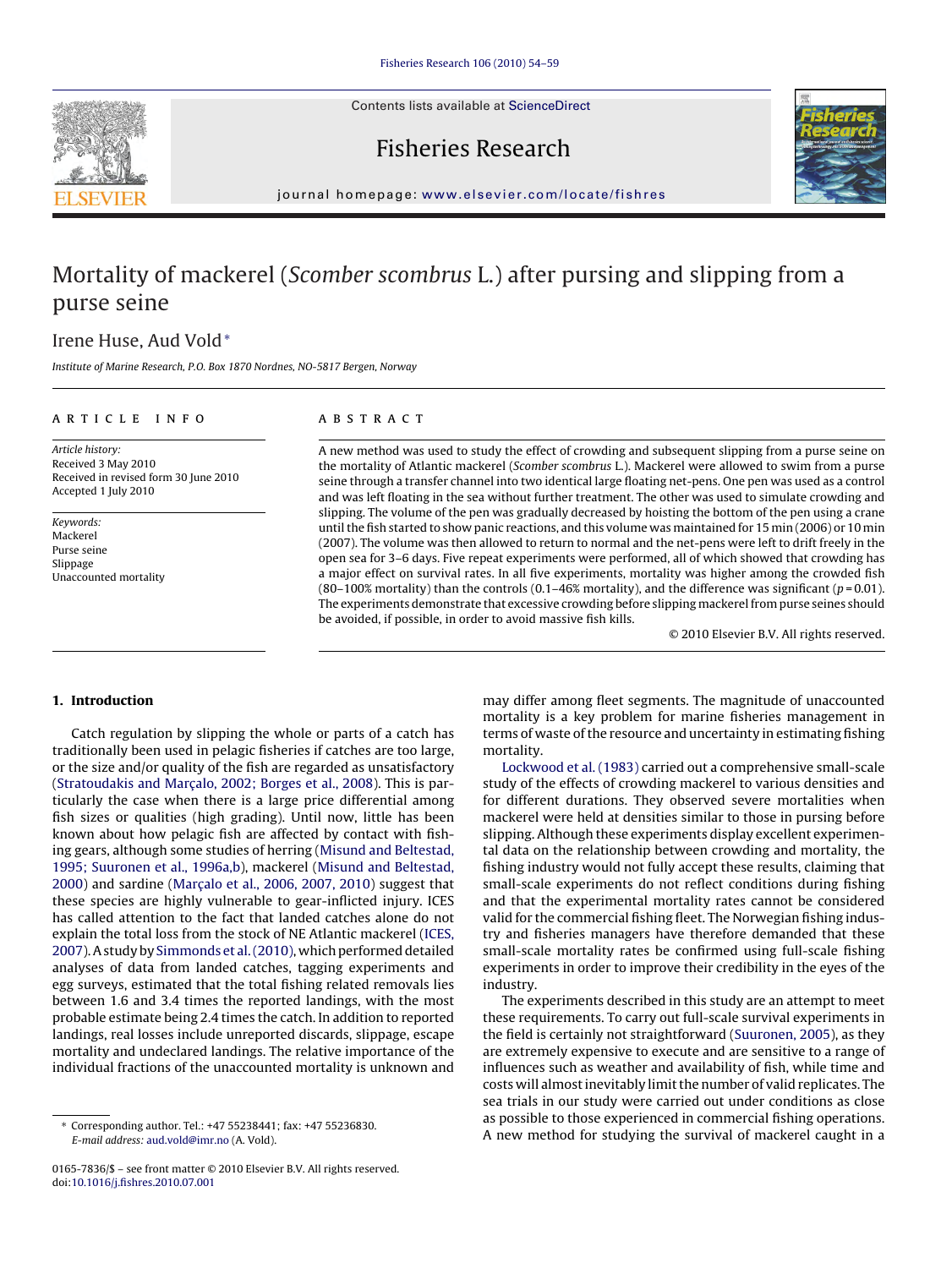Contents lists available at [ScienceDirect](http://www.sciencedirect.com/science/journal/01657836)





# Fisheries Research

journal homepage: [www.elsevier.com/locate/fishres](http://www.elsevier.com/locate/fishres)

# Mortality of mackerel (Scomber scombrus L.) after pursing and slipping from a purse seine

## Irene Huse, Aud Vold<sup>∗</sup>

Institute of Marine Research, P.O. Box 1870 Nordnes, NO-5817 Bergen, Norway

### article info

### **ABSTRACT**

Article history: Received 3 May 2010 Received in revised form 30 June 2010 Accepted 1 July 2010

Keywords: Mackerel Purse seine Slippage Unaccounted mortality

A new method was used to study the effect of crowding and subsequent slipping from a purse seine on the mortality of Atlantic mackerel (Scomber scombrus L.). Mackerel were allowed to swim from a purse seine through a transfer channel into two identical large floating net-pens. One pen was used as a control and was left floating in the sea without further treatment. The other was used to simulate crowding and slipping. The volume of the pen was gradually decreased by hoisting the bottom of the pen using a crane until the fish started to show panic reactions, and this volume was maintained for 15 min (2006) or 10 min (2007). The volume was then allowed to return to normal and the net-pens were left to drift freely in the open sea for 3–6 days. Five repeat experiments were performed, all of which showed that crowding has a major effect on survival rates. In all five experiments, mortality was higher among the crowded fish (80–100% mortality) than the controls (0.1–46% mortality), and the difference was significant ( $p = 0.01$ ). The experiments demonstrate that excessive crowding before slipping mackerel from purse seines should be avoided, if possible, in order to avoid massive fish kills.

© 2010 Elsevier B.V. All rights reserved.

#### **1. Introduction**

Catch regulation by slipping the whole or parts of a catch has traditionally been used in pelagic fisheries if catches are too large, or the size and/or quality of the fish are regarded as unsatisfactory (Stratoudakis and Marcalo, 2002; Borges et al., 2008). This is particularly the case when there is a large price differential among fish sizes or qualities (high grading). Until now, little has been known about how pelagic fish are affected by contact with fishing gears, although some studies of herring [\(Misund and Beltestad,](#page-5-0) [1995; Suuronen et al., 1996a,b\),](#page-5-0) mackerel ([Misund and Beltestad,](#page-5-0)  $2000$ ) and sardine (Marcalo et al., 2006, 2007, 2010) suggest that these species are highly vulnerable to gear-inflicted injury. ICES has called attention to the fact that landed catches alone do not explain the total loss from the stock of NE Atlantic mackerel ([ICES,](#page-5-0) [2007\).](#page-5-0) A study by [Simmonds et al. \(2010\), w](#page-5-0)hich performed detailed analyses of data from landed catches, tagging experiments and egg surveys, estimated that the total fishing related removals lies between 1.6 and 3.4 times the reported landings, with the most probable estimate being 2.4 times the catch. In addition to reported landings, real losses include unreported discards, slippage, escape mortality and undeclared landings. The relative importance of the individual fractions of the unaccounted mortality is unknown and may differ among fleet segments. The magnitude of unaccounted mortality is a key problem for marine fisheries management in terms of waste of the resource and uncertainty in estimating fishing mortality.

[Lockwood et al. \(1983\)](#page-5-0) carried out a comprehensive small-scale study of the effects of crowding mackerel to various densities and for different durations. They observed severe mortalities when mackerel were held at densities similar to those in pursing before slipping. Although these experiments display excellent experimental data on the relationship between crowding and mortality, the fishing industry would not fully accept these results, claiming that small-scale experiments do not reflect conditions during fishing and that the experimental mortality rates cannot be considered valid for the commercial fishing fleet. The Norwegian fishing industry and fisheries managers have therefore demanded that these small-scale mortality rates be confirmed using full-scale fishing experiments in order to improve their credibility in the eyes of the industry.

The experiments described in this study are an attempt to meet these requirements. To carry out full-scale survival experiments in the field is certainly not straightforward ([Suuronen, 2005\),](#page-5-0) as they are extremely expensive to execute and are sensitive to a range of influences such as weather and availability of fish, while time and costs will almost inevitably limit the number of valid replicates. The sea trials in our study were carried out under conditions as close as possible to those experienced in commercial fishing operations. A new method for studying the survival of mackerel caught in a

<sup>∗</sup> Corresponding author. Tel.: +47 55238441; fax: +47 55236830. E-mail address: [aud.vold@imr.no](mailto:aud.vold@imr.no) (A. Vold).

<sup>0165-7836/\$ –</sup> see front matter © 2010 Elsevier B.V. All rights reserved. doi:[10.1016/j.fishres.2010.07.001](dx.doi.org/10.1016/j.fishres.2010.07.001)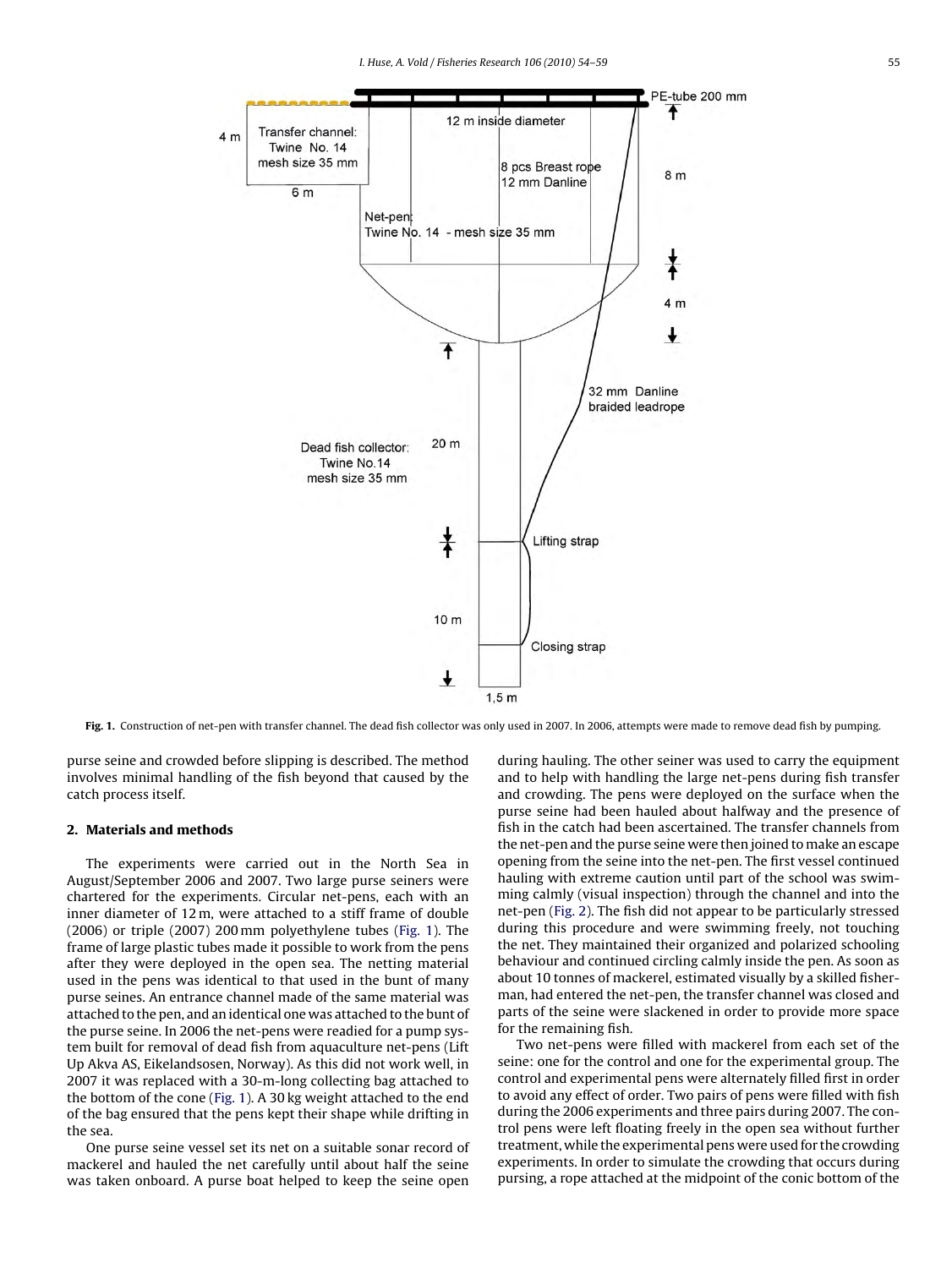

Fig. 1. Construction of net-pen with transfer channel. The dead fish collector was only used in 2007. In 2006, attempts were made to remove dead fish by pumping.

purse seine and crowded before slipping is described. The method involves minimal handling of the fish beyond that caused by the catch process itself.

#### **2. Materials and methods**

The experiments were carried out in the North Sea in August/September 2006 and 2007. Two large purse seiners were chartered for the experiments. Circular net-pens, each with an inner diameter of 12 m, were attached to a stiff frame of double (2006) or triple (2007) 200 mm polyethylene tubes (Fig. 1). The frame of large plastic tubes made it possible to work from the pens after they were deployed in the open sea. The netting material used in the pens was identical to that used in the bunt of many purse seines. An entrance channel made of the same material was attached to the pen, and an identical one was attached to the bunt of the purse seine. In 2006 the net-pens were readied for a pump system built for removal of dead fish from aquaculture net-pens (Lift Up Akva AS, Eikelandsosen, Norway). As this did not work well, in 2007 it was replaced with a 30-m-long collecting bag attached to the bottom of the cone (Fig. 1). A 30 kg weight attached to the end of the bag ensured that the pens kept their shape while drifting in the sea.

One purse seine vessel set its net on a suitable sonar record of mackerel and hauled the net carefully until about half the seine was taken onboard. A purse boat helped to keep the seine open during hauling. The other seiner was used to carry the equipment and to help with handling the large net-pens during fish transfer and crowding. The pens were deployed on the surface when the purse seine had been hauled about halfway and the presence of fish in the catch had been ascertained. The transfer channels from the net-pen and the purse seine were then joined to make an escape opening from the seine into the net-pen. The first vessel continued hauling with extreme caution until part of the school was swimming calmly (visual inspection) through the channel and into the net-pen ([Fig. 2\).](#page-2-0) The fish did not appear to be particularly stressed during this procedure and were swimming freely, not touching the net. They maintained their organized and polarized schooling behaviour and continued circling calmly inside the pen. As soon as about 10 tonnes of mackerel, estimated visually by a skilled fisherman, had entered the net-pen, the transfer channel was closed and parts of the seine were slackened in order to provide more space for the remaining fish.

Two net-pens were filled with mackerel from each set of the seine: one for the control and one for the experimental group. The control and experimental pens were alternately filled first in order to avoid any effect of order. Two pairs of pens were filled with fish during the 2006 experiments and three pairs during 2007. The control pens were left floating freely in the open sea without further treatment, while the experimental pens were used for the crowding experiments. In order to simulate the crowding that occurs during pursing, a rope attached at the midpoint of the conic bottom of the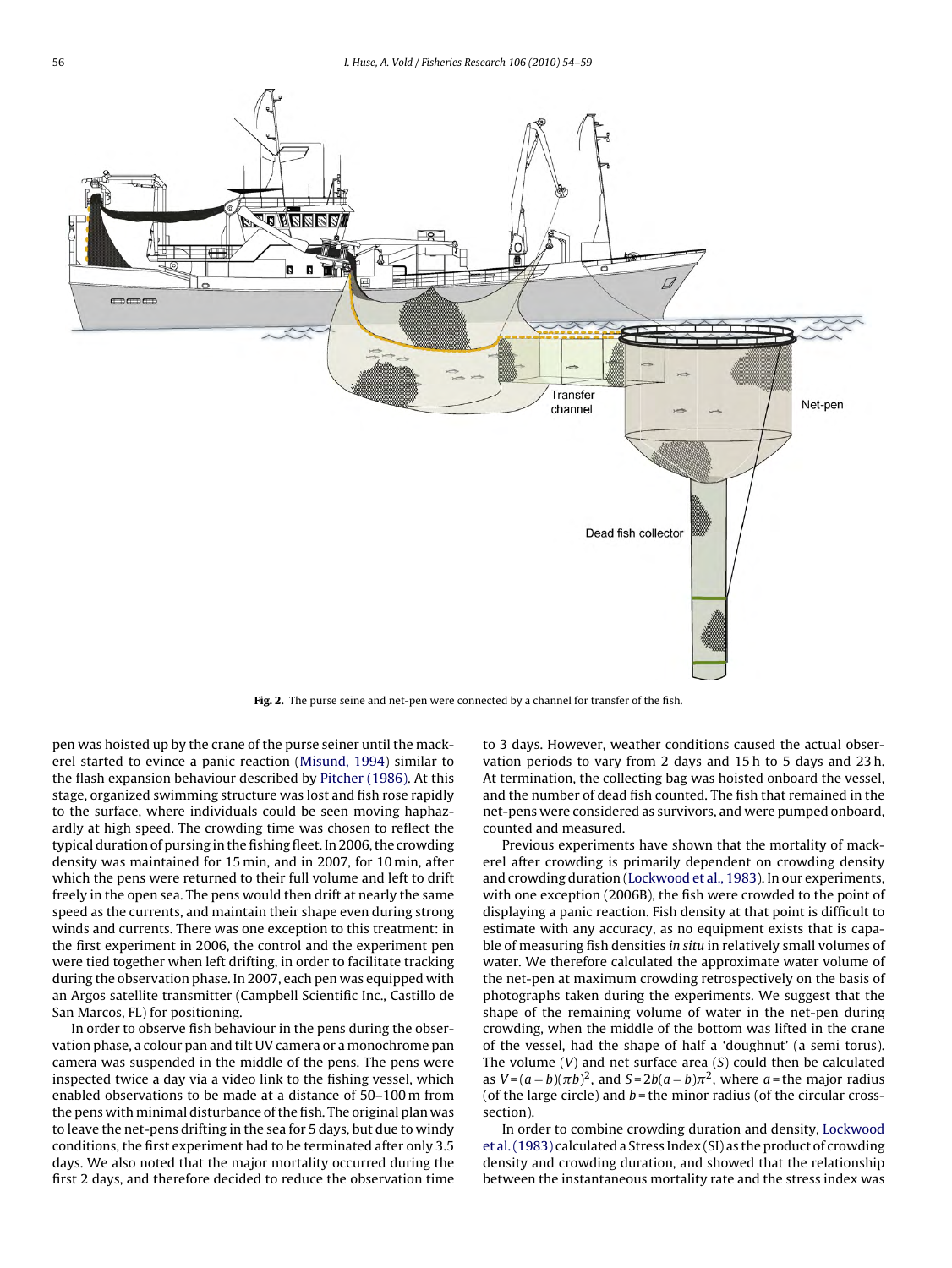<span id="page-2-0"></span>

**Fig. 2.** The purse seine and net-pen were connected by a channel for transfer of the fish.

pen was hoisted up by the crane of the purse seiner until the mackerel started to evince a panic reaction ([Misund, 1994\)](#page-5-0) similar to the flash expansion behaviour described by [Pitcher \(1986\). A](#page-5-0)t this stage, organized swimming structure was lost and fish rose rapidly to the surface, where individuals could be seen moving haphazardly at high speed. The crowding time was chosen to reflect the typical duration of pursing in the fishing fleet. In 2006, the crowding density was maintained for 15 min, and in 2007, for 10 min, after which the pens were returned to their full volume and left to drift freely in the open sea. The pens would then drift at nearly the same speed as the currents, and maintain their shape even during strong winds and currents. There was one exception to this treatment: in the first experiment in 2006, the control and the experiment pen were tied together when left drifting, in order to facilitate tracking during the observation phase. In 2007, each pen was equipped with an Argos satellite transmitter (Campbell Scientific Inc., Castillo de San Marcos, FL) for positioning.

In order to observe fish behaviour in the pens during the observation phase, a colour pan and tilt UV camera or a monochrome pan camera was suspended in the middle of the pens. The pens were inspected twice a day via a video link to the fishing vessel, which enabled observations to be made at a distance of 50–100 m from the pens with minimal disturbance of the fish. The original plan was to leave the net-pens drifting in the sea for 5 days, but due to windy conditions, the first experiment had to be terminated after only 3.5 days. We also noted that the major mortality occurred during the first 2 days, and therefore decided to reduce the observation time to 3 days. However, weather conditions caused the actual observation periods to vary from 2 days and 15 h to 5 days and 23 h. At termination, the collecting bag was hoisted onboard the vessel, and the number of dead fish counted. The fish that remained in the net-pens were considered as survivors, and were pumped onboard, counted and measured.

Previous experiments have shown that the mortality of mackerel after crowding is primarily dependent on crowding density and crowding duration [\(Lockwood et al., 1983\).](#page-5-0) In our experiments, with one exception (2006B), the fish were crowded to the point of displaying a panic reaction. Fish density at that point is difficult to estimate with any accuracy, as no equipment exists that is capable of measuring fish densities in situ in relatively small volumes of water. We therefore calculated the approximate water volume of the net-pen at maximum crowding retrospectively on the basis of photographs taken during the experiments. We suggest that the shape of the remaining volume of water in the net-pen during crowding, when the middle of the bottom was lifted in the crane of the vessel, had the shape of half a 'doughnut' (a semi torus). The volume  $(V)$  and net surface area  $(S)$  could then be calculated as  $V = (a - b)(\pi b)^2$ , and  $S = 2b(a - b)\pi^2$ , where a = the major radius (of the large circle) and  $b$  = the minor radius (of the circular crosssection).

In order to combine crowding duration and density, [Lockwood](#page-5-0) [et al. \(1983\)](#page-5-0) calculated a Stress Index (SI) as the product of crowding density and crowding duration, and showed that the relationship between the instantaneous mortality rate and the stress index was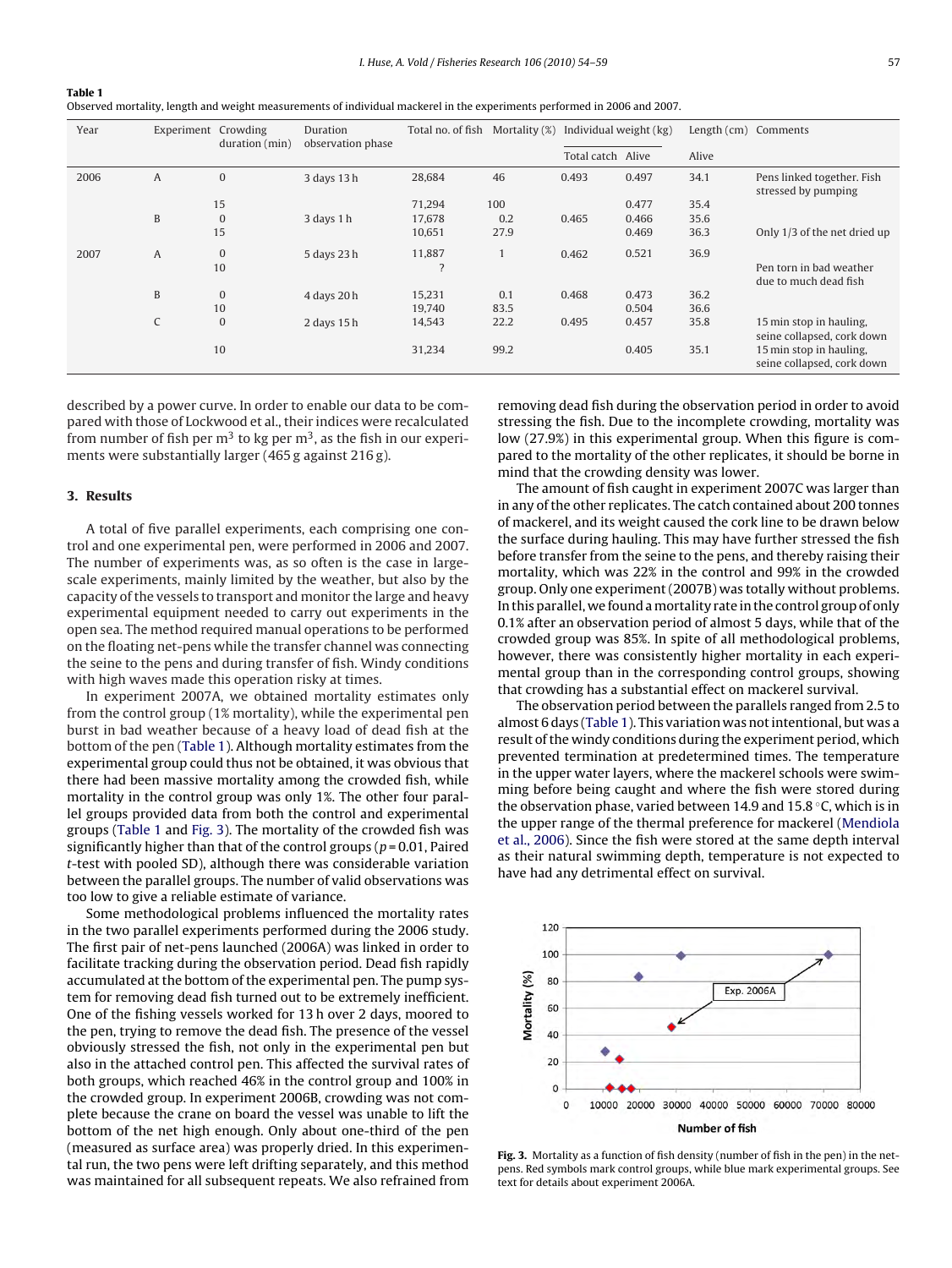Observed mortality, length and weight measurements of individual mackerel in the experiments performed in 2006 and 2007.

| Year | Experiment Crowding | duration (min)   | Duration<br>observation phase | Total no. of fish | Mortality (%) | Individual weight (kg) |       | Length (cm) Comments |                                                                                     |
|------|---------------------|------------------|-------------------------------|-------------------|---------------|------------------------|-------|----------------------|-------------------------------------------------------------------------------------|
|      |                     |                  |                               |                   |               |                        |       |                      |                                                                                     |
|      |                     |                  |                               |                   |               | Total catch Alive      |       | Alive                |                                                                                     |
| 2006 | A                   | $\mathbf{0}$     | 3 days 13 h                   | 28,684            | 46            | 0.493                  | 0.497 | 34.1                 | Pens linked together. Fish<br>stressed by pumping                                   |
|      |                     | 15               |                               | 71,294            | 100           |                        | 0.477 | 35.4                 |                                                                                     |
|      | B                   | $\boldsymbol{0}$ | 3 days 1 h                    | 17,678            | 0.2           | 0.465                  | 0.466 | 35.6                 |                                                                                     |
|      |                     | 15               |                               | 10,651            | 27.9          |                        | 0.469 | 36.3                 | Only 1/3 of the net dried up                                                        |
| 2007 | A                   | $\boldsymbol{0}$ | 5 days 23 h                   | 11,887            |               | 0.462                  | 0.521 | 36.9                 |                                                                                     |
|      |                     | 10               |                               |                   |               |                        |       |                      | Pen torn in bad weather                                                             |
|      |                     |                  |                               |                   |               |                        |       |                      | due to much dead fish                                                               |
|      | B                   | $\boldsymbol{0}$ | 4 days 20 h                   | 15,231            | 0.1           | 0.468                  | 0.473 | 36.2                 |                                                                                     |
|      |                     | 10               |                               | 19,740            | 83.5          |                        | 0.504 | 36.6                 |                                                                                     |
|      | C                   | $\mathbf{0}$     | 2 days 15 h                   | 14,543            | 22.2          | 0.495                  | 0.457 | 35.8                 | 15 min stop in hauling.                                                             |
|      |                     | 10               |                               | 31,234            | 99.2          |                        | 0.405 | 35.1                 | seine collapsed, cork down<br>15 min stop in hauling.<br>seine collapsed, cork down |

described by a power curve. In order to enable our data to be compared with those of Lockwood et al., their indices were recalculated from number of fish per  $m<sup>3</sup>$  to kg per  $m<sup>3</sup>$ , as the fish in our experiments were substantially larger (465 g against 216 g).

#### **3. Results**

<span id="page-3-0"></span>**Table 1**

A total of five parallel experiments, each comprising one control and one experimental pen, were performed in 2006 and 2007. The number of experiments was, as so often is the case in largescale experiments, mainly limited by the weather, but also by the capacity of the vessels to transport and monitor the large and heavy experimental equipment needed to carry out experiments in the open sea. The method required manual operations to be performed on the floating net-pens while the transfer channel was connecting the seine to the pens and during transfer of fish. Windy conditions with high waves made this operation risky at times.

In experiment 2007A, we obtained mortality estimates only from the control group (1% mortality), while the experimental pen burst in bad weather because of a heavy load of dead fish at the bottom of the pen (Table 1). Although mortality estimates from the experimental group could thus not be obtained, it was obvious that there had been massive mortality among the crowded fish, while mortality in the control group was only 1%. The other four parallel groups provided data from both the control and experimental groups (Table 1 and Fig. 3). The mortality of the crowded fish was significantly higher than that of the control groups ( $p = 0.01$ , Paired t-test with pooled SD), although there was considerable variation between the parallel groups. The number of valid observations was too low to give a reliable estimate of variance.

Some methodological problems influenced the mortality rates in the two parallel experiments performed during the 2006 study. The first pair of net-pens launched (2006A) was linked in order to facilitate tracking during the observation period. Dead fish rapidly accumulated at the bottom of the experimental pen. The pump system for removing dead fish turned out to be extremely inefficient. One of the fishing vessels worked for 13 h over 2 days, moored to the pen, trying to remove the dead fish. The presence of the vessel obviously stressed the fish, not only in the experimental pen but also in the attached control pen. This affected the survival rates of both groups, which reached 46% in the control group and 100% in the crowded group. In experiment 2006B, crowding was not complete because the crane on board the vessel was unable to lift the bottom of the net high enough. Only about one-third of the pen (measured as surface area) was properly dried. In this experimental run, the two pens were left drifting separately, and this method was maintained for all subsequent repeats. We also refrained from removing dead fish during the observation period in order to avoid stressing the fish. Due to the incomplete crowding, mortality was low (27.9%) in this experimental group. When this figure is compared to the mortality of the other replicates, it should be borne in mind that the crowding density was lower.

The amount of fish caught in experiment 2007C was larger than in any of the other replicates. The catch contained about 200 tonnes of mackerel, and its weight caused the cork line to be drawn below the surface during hauling. This may have further stressed the fish before transfer from the seine to the pens, and thereby raising their mortality, which was 22% in the control and 99% in the crowded group. Only one experiment (2007B) was totally without problems. In this parallel, we found amortality rate in the control group of only 0.1% after an observation period of almost 5 days, while that of the crowded group was 85%. In spite of all methodological problems, however, there was consistently higher mortality in each experimental group than in the corresponding control groups, showing that crowding has a substantial effect on mackerel survival.

The observation period between the parallels ranged from 2.5 to almost 6 days (Table 1). This variation was not intentional, but was a result of the windy conditions during the experiment period, which prevented termination at predetermined times. The temperature in the upper water layers, where the mackerel schools were swimming before being caught and where the fish were stored during the observation phase, varied between 14.9 and 15.8 ◦C, which is in the upper range of the thermal preference for mackerel ([Mendiola](#page-5-0) [et al., 2006\).](#page-5-0) Since the fish were stored at the same depth interval as their natural swimming depth, temperature is not expected to have had any detrimental effect on survival.



**Fig. 3.** Mortality as a function of fish density (number of fish in the pen) in the netpens. Red symbols mark control groups, while blue mark experimental groups. See text for details about experiment 2006A.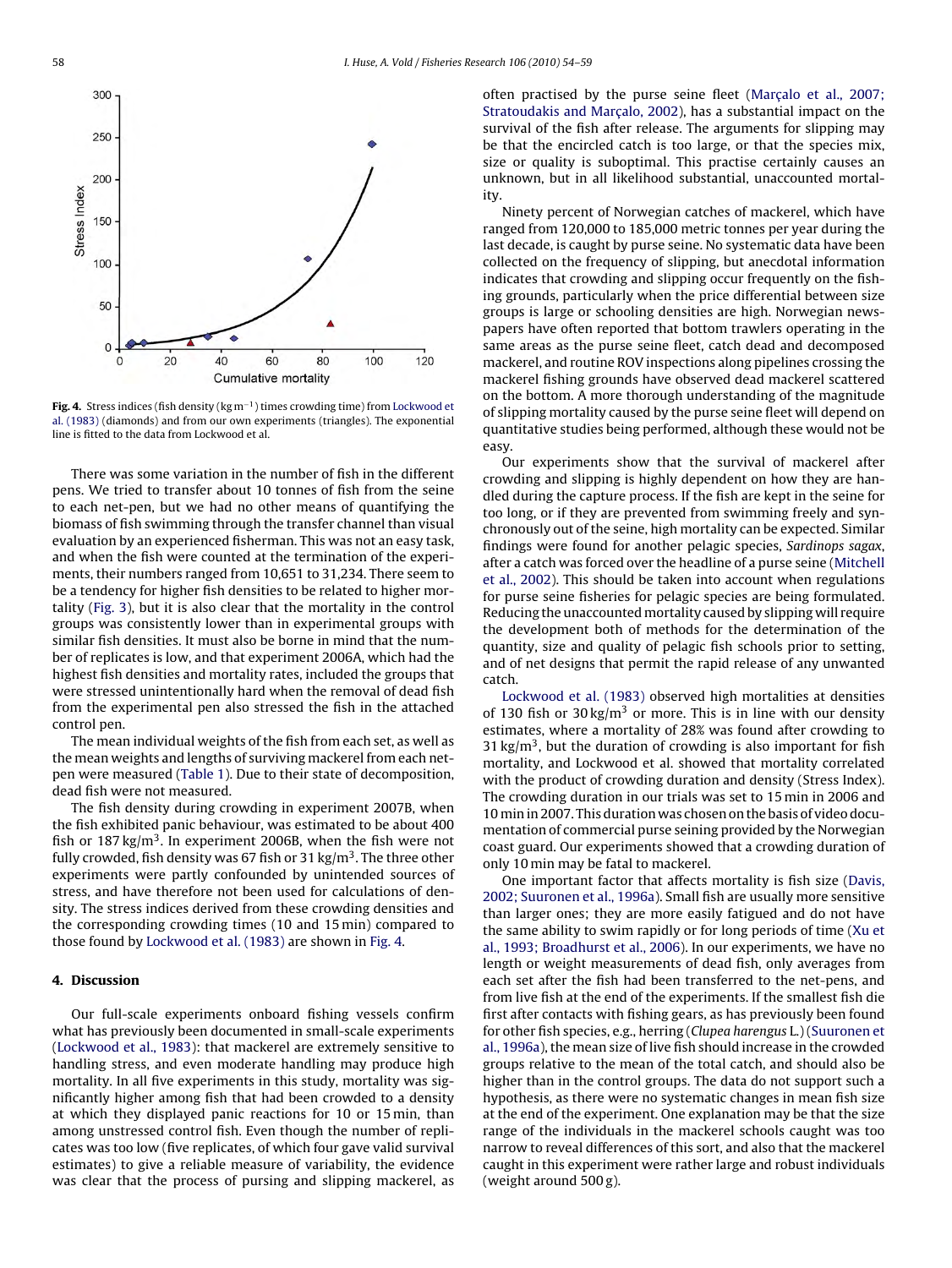

**Fig. 4.** Stress indices (fish density (kg m−1) times crowding time) from [Lockwood et](#page-5-0) [al. \(1983\)](#page-5-0) (diamonds) and from our own experiments (triangles). The exponential line is fitted to the data from Lockwood et al.

There was some variation in the number of fish in the different pens. We tried to transfer about 10 tonnes of fish from the seine to each net-pen, but we had no other means of quantifying the biomass of fish swimming through the transfer channel than visual evaluation by an experienced fisherman. This was not an easy task, and when the fish were counted at the termination of the experiments, their numbers ranged from 10,651 to 31,234. There seem to be a tendency for higher fish densities to be related to higher mortality ([Fig. 3\),](#page-3-0) but it is also clear that the mortality in the control groups was consistently lower than in experimental groups with similar fish densities. It must also be borne in mind that the number of replicates is low, and that experiment 2006A, which had the highest fish densities and mortality rates, included the groups that were stressed unintentionally hard when the removal of dead fish from the experimental pen also stressed the fish in the attached control pen.

The mean individual weights of the fish from each set, as well as the mean weights and lengths of surviving mackerel from each netpen were measured [\(Table 1\).](#page-3-0) Due to their state of decomposition, dead fish were not measured.

The fish density during crowding in experiment 2007B, when the fish exhibited panic behaviour, was estimated to be about 400 fish or  $187 \text{ kg/m}^3$ . In experiment 2006B, when the fish were not fully crowded, fish density was 67 fish or 31 kg/m<sup>3</sup>. The three other experiments were partly confounded by unintended sources of stress, and have therefore not been used for calculations of density. The stress indices derived from these crowding densities and the corresponding crowding times (10 and 15 min) compared to those found by [Lockwood et al. \(1983\)](#page-5-0) are shown in Fig. 4.

### **4. Discussion**

Our full-scale experiments onboard fishing vessels confirm what has previously been documented in small-scale experiments ([Lockwood et al., 1983\):](#page-5-0) that mackerel are extremely sensitive to handling stress, and even moderate handling may produce high mortality. In all five experiments in this study, mortality was significantly higher among fish that had been crowded to a density at which they displayed panic reactions for 10 or 15 min, than among unstressed control fish. Even though the number of replicates was too low (five replicates, of which four gave valid survival estimates) to give a reliable measure of variability, the evidence was clear that the process of pursing and slipping mackerel, as often practised by the purse seine fleet (Marçalo et al., 2007; Stratoudakis and Marçalo, 2002), has a substantial impact on the survival of the fish after release. The arguments for slipping may be that the encircled catch is too large, or that the species mix, size or quality is suboptimal. This practise certainly causes an unknown, but in all likelihood substantial, unaccounted mortality.

Ninety percent of Norwegian catches of mackerel, which have ranged from 120,000 to 185,000 metric tonnes per year during the last decade, is caught by purse seine. No systematic data have been collected on the frequency of slipping, but anecdotal information indicates that crowding and slipping occur frequently on the fishing grounds, particularly when the price differential between size groups is large or schooling densities are high. Norwegian newspapers have often reported that bottom trawlers operating in the same areas as the purse seine fleet, catch dead and decomposed mackerel, and routine ROV inspections along pipelines crossing the mackerel fishing grounds have observed dead mackerel scattered on the bottom. A more thorough understanding of the magnitude of slipping mortality caused by the purse seine fleet will depend on quantitative studies being performed, although these would not be easy.

Our experiments show that the survival of mackerel after crowding and slipping is highly dependent on how they are handled during the capture process. If the fish are kept in the seine for too long, or if they are prevented from swimming freely and synchronously out of the seine, high mortality can be expected. Similar findings were found for another pelagic species, Sardinops sagax, after a catch was forced over the headline of a purse seine [\(Mitchell](#page-5-0) [et al., 2002\).](#page-5-0) This should be taken into account when regulations for purse seine fisheries for pelagic species are being formulated. Reducing the unaccountedmortality caused by slipping will require the development both of methods for the determination of the quantity, size and quality of pelagic fish schools prior to setting, and of net designs that permit the rapid release of any unwanted catch.

[Lockwood et al. \(1983\)](#page-5-0) observed high mortalities at densities of 130 fish or 30 kg/m<sup>3</sup> or more. This is in line with our density estimates, where a mortality of 28% was found after crowding to 31 kg/m<sup>3</sup>, but the duration of crowding is also important for fish mortality, and Lockwood et al. showed that mortality correlated with the product of crowding duration and density (Stress Index). The crowding duration in our trials was set to 15 min in 2006 and 10 min in 2007. This duration was chosen on the basis of video documentation of commercial purse seining provided by the Norwegian coast guard. Our experiments showed that a crowding duration of only 10 min may be fatal to mackerel.

One important factor that affects mortality is fish size ([Davis,](#page-5-0) [2002; Suuronen et al., 1996a\).](#page-5-0) Small fish are usually more sensitive than larger ones; they are more easily fatigued and do not have the same ability to swim rapidly or for long periods of time ([Xu et](#page-5-0) [al., 1993; Broadhurst et al., 2006\).](#page-5-0) In our experiments, we have no length or weight measurements of dead fish, only averages from each set after the fish had been transferred to the net-pens, and from live fish at the end of the experiments. If the smallest fish die first after contacts with fishing gears, as has previously been found for other fish species, e.g., herring (Clupea harengus L.) ([Suuronen et](#page-5-0) [al., 1996a\),](#page-5-0) the mean size of live fish should increase in the crowded groups relative to the mean of the total catch, and should also be higher than in the control groups. The data do not support such a hypothesis, as there were no systematic changes in mean fish size at the end of the experiment. One explanation may be that the size range of the individuals in the mackerel schools caught was too narrow to reveal differences of this sort, and also that the mackerel caught in this experiment were rather large and robust individuals (weight around 500 g).